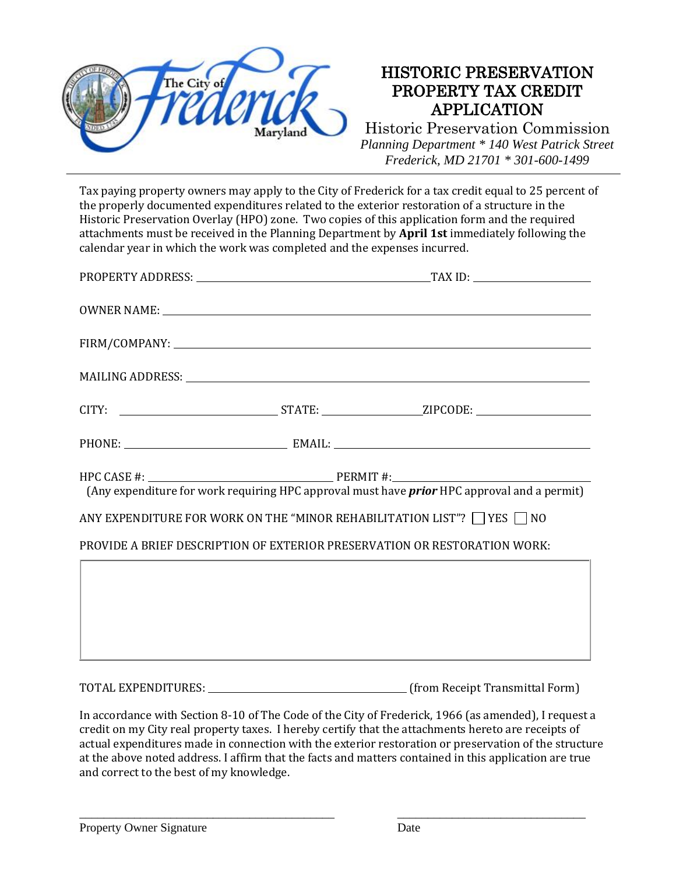

Tax paying property owners may apply to the City of Frederick for a tax credit equal to 25 percent of the properly documented expenditures related to the exterior restoration of a structure in the Historic Preservation Overlay (HPO) zone. Two copies of this application form and the required attachments must be received in the Planning Department by **April 1st** immediately following the calendar year in which the work was completed and the expenses incurred.

| (Any expenditure for work requiring HPC approval must have <i>prior</i> HPC approval and a permit)<br>ANY EXPENDITURE FOR WORK ON THE "MINOR REHABILITATION LIST"? $\Box$ YES $\Box$ NO |  |  |
|-----------------------------------------------------------------------------------------------------------------------------------------------------------------------------------------|--|--|
| PROVIDE A BRIEF DESCRIPTION OF EXTERIOR PRESERVATION OR RESTORATION WORK:                                                                                                               |  |  |
|                                                                                                                                                                                         |  |  |
|                                                                                                                                                                                         |  |  |
|                                                                                                                                                                                         |  |  |

TOTAL EXPENDITURES: (from Receipt Transmittal Form)

In accordance with Section 8-10 of The Code of the City of Frederick, 1966 (as amended), I request a credit on my City real property taxes. I hereby certify that the attachments hereto are receipts of actual expenditures made in connection with the exterior restoration or preservation of the structure at the above noted address. I affirm that the facts and matters contained in this application are true and correct to the best of my knowledge.

\_\_\_\_\_\_\_\_\_\_\_\_\_\_\_\_\_\_\_\_\_\_\_\_\_\_\_\_\_\_\_\_\_\_\_\_\_\_\_\_\_\_ \_\_\_\_\_\_\_\_\_\_\_\_\_\_\_\_\_\_\_\_\_\_\_\_\_\_\_\_\_\_\_